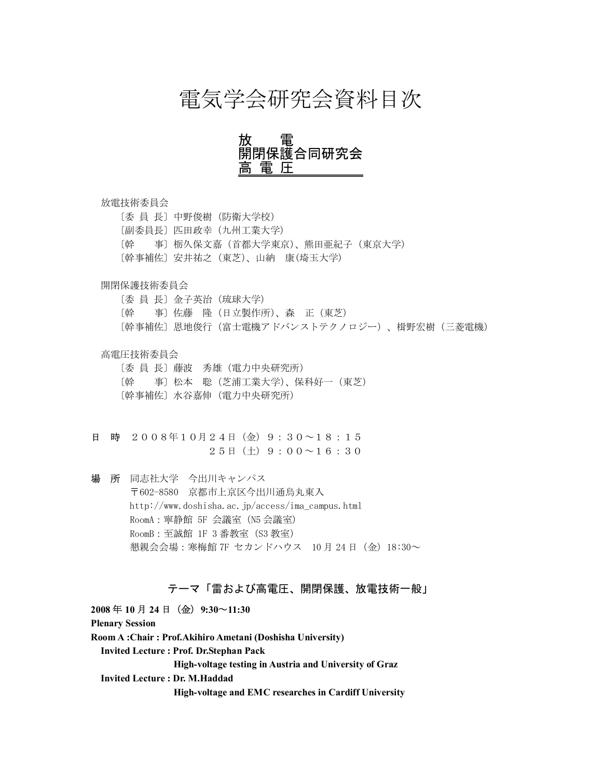## 電気学会研究会資料目次

## 放 電 開閉保護合同研究会 富.

#### 放電技術委員会

〔委 員 長〕中野俊樹(防衛大学校) 〔副委員長〕匹田政幸(九州工業大学) 〔幹 事〕栃久保文嘉(首都大学東京)、熊田亜紀子(東京大学) 〔幹事補佐〕安井祐之(東芝)、山納 康(埼玉大学)

### 開閉保護技術委員会

〔委 員 長〕金子英治(琉球大学) 〔幹 事〕佐藤 隆(日立製作所)、森 正(東芝) 〔幹事補佐〕恩地俊行(富士電機アドバンストテクノロジー)、楫野宏樹(三菱電機)

### 高電圧技術委員会

〔委 員 長〕藤波 秀雄(電力中央研究所) 〔幹 事〕松本 聡(芝浦工業大学)、保科好一(東芝) 〔幹事補佐〕水谷嘉伸(電力中央研究所)

- 日 時 2008年10月24日(金)9:30~18:15  $25H(\pm)9:00 \sim 16:30$
- 場 所 同志社大学 今出川キャンパス 〒602-8580 京都市上京区今出川通烏丸東入 http://www.doshisha.ac.jp/access/ima\_campus.html RoomA:寧静館 5F 会議室(N5 会議室) RoomB:至誠館 1F 3 番教室(S3 教室) 懇親会会場:寒梅館 7F セカンドハウス 10 月 24 日(金)18:30~

## テーマ「雷および高電圧、開閉保護、放電技術一般」

**2008** 年 **10** 月 **24** 日(金)**9:30**~**11:30 Plenary Session Room A :Chair : Prof.Akihiro Ametani (Doshisha University) Invited Lecture : Prof. Dr.Stephan Pack High-voltage testing in Austria and University of Graz Invited Lecture : Dr. M.Haddad High-voltage and EMC researches in Cardiff University**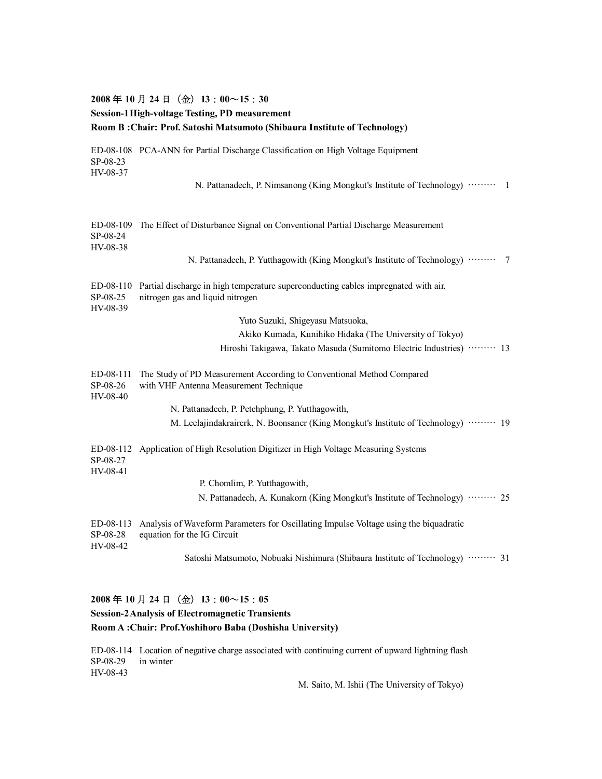## **2008** 年 **10** 月 **24** 日(金)**13**:**00**~**15**:**30 Session-1High-voltage Testing, PD measurement Room B :Chair: Prof. Satoshi Matsumoto (Shibaura Institute of Technology)** ED-08-108 PCA-ANN for Partial Discharge Classification on High Voltage Equipment SP-08-23 HV-08-37 N. Pattanadech, P. Nimsanong (King Mongkut's Institute of Technology) ……… 1 ED-08-109 The Effect of Disturbance Signal on Conventional Partial Discharge Measurement SP-08-24 HV-08-38 N. Pattanadech, P. Yutthagowith (King Mongkut's Institute of Technology) ……… 7 ED-08-110 Partial discharge in high temperature superconducting cables impregnated with air, SP-08-25 nitrogen gas and liquid nitrogen HV-08-39 Yuto Suzuki, Shigeyasu Matsuoka, Akiko Kumada, Kunihiko Hidaka (The University of Tokyo) Hiroshi Takigawa, Takato Masuda (Sumitomo Electric Industries) ……… 13 ED-08-111 The Study of PD Measurement According to Conventional Method Compared SP-08-26 with VHF Antenna Measurement Technique HV-08-40 N. Pattanadech, P. Petchphung, P. Yutthagowith, M. Leelajindakrairerk, N. Boonsaner (King Mongkut's Institute of Technology) ……… 19 ED-08-112 Application of High Resolution Digitizer in High Voltage Measuring Systems SP-08-27 HV-08-41 P. Chomlim, P. Yutthagowith, N. Pattanadech, A. Kunakorn (King Mongkut's Institute of Technology) ……… 25 ED-08-113 Analysis of Waveform Parameters for Oscillating Impulse Voltage using the biquadratic SP-08-28 equation for the IG Circuit HV-08-42 Satoshi Matsumoto, Nobuaki Nishimura (Shibaura Institute of Technology) ……… 31

### **2008** 年 **10** 月 **24** 日(金)**13**:**00**~**15**:**05**

### **Session-2Analysis of Electromagnetic Transients**

### **Room A :Chair: Prof.Yoshihoro Baba (Doshisha University)**

ED-08-114 Location of negative charge associated with continuing current of upward lightning flash SP-08-29 in winter HV-08-43

M. Saito, M. Ishii (The University of Tokyo)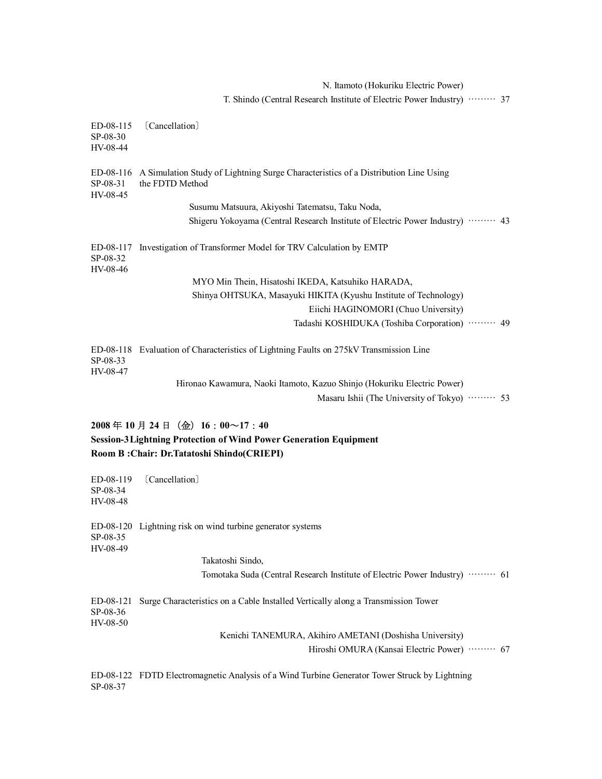N. Itamoto (Hokuriku Electric Power) T. Shindo (Central Research Institute of Electric Power Industry) ……… 37 ED-08-115 〔Cancellation〕 SP-08-30 HV-08-44 ED-08-116 A Simulation Study of Lightning Surge Characteristics of a Distribution Line Using SP-08-31 the FDTD Method HV-08-45 Susumu Matsuura, Akiyoshi Tatematsu, Taku Noda, Shigeru Yokoyama (Central Research Institute of Electric Power Industry) ……… 43 ED-08-117 Investigation of Transformer Model for TRV Calculation by EMTP SP-08-32 HV-08-46 MYO Min Thein, Hisatoshi IKEDA, Katsuhiko HARADA, Shinya OHTSUKA, Masayuki HIKITA (Kyushu Institute of Technology) Eiichi HAGINOMORI (Chuo University) Tadashi KOSHIDUKA (Toshiba Corporation) ……… 49 ED-08-118 Evaluation of Characteristics of Lightning Faults on 275kV Transmission Line SP-08-33 HV-08-47 Hironao Kawamura, Naoki Itamoto, Kazuo Shinjo (Hokuriku Electric Power) Masaru Ishii (The University of Tokyo) ……… 53 **2008** 年 **10** 月 **24** 日(金)**16**:**00**~**17**:**40 Session-3Lightning Protection of Wind Power Generation Equipment Room B :Chair: Dr.Tatatoshi Shindo(CRIEPI)** ED-08-119 〔Cancellation〕 SP-08-34 HV-08-48

ED-08-120 Lightning risk on wind turbine generator systems SP-08-35 HV-08-49 Takatoshi Sindo, Tomotaka Suda (Central Research Institute of Electric Power Industry) ……… 61

ED-08-121 Surge Characteristics on a Cable Installed Vertically along a Transmission Tower SP-08-36 HV-08-50 Kenichi TANEMURA, Akihiro AMETANI (Doshisha University)

Hiroshi OMURA (Kansai Electric Power) ……… 67

ED-08-122 FDTD Electromagnetic Analysis of a Wind Turbine Generator Tower Struck by Lightning SP-08-37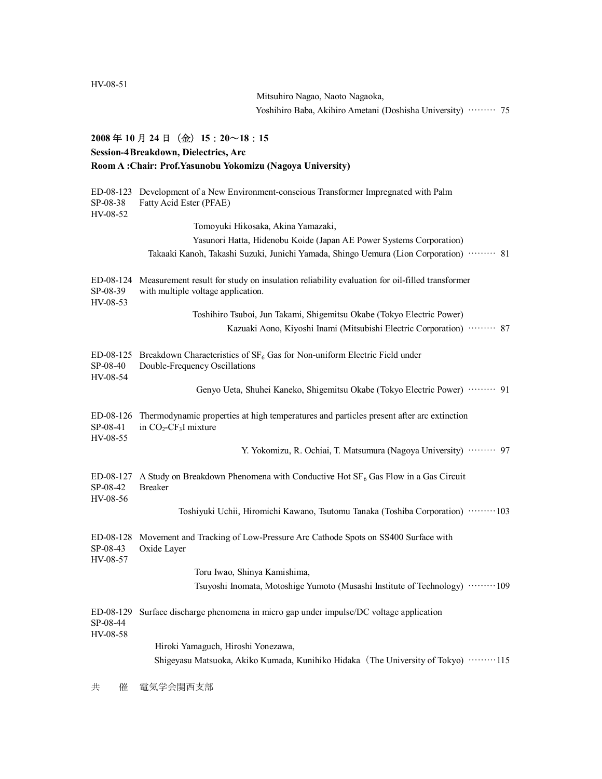```
HV-08-51
```
Mitsuhiro Nagao, Naoto Nagaoka, Yoshihiro Baba, Akihiro Ametani (Doshisha University) ……… 75

## **2008** 年 **10** 月 **24** 日(金)**15**:**20**~**18**:**15**

### **Session-4Breakdown, Dielectrics, Arc**

| Room A: Chair: Prof. Yasunobu Yokomizu (Nagoya University) |                                                                                                                                    |  |  |  |
|------------------------------------------------------------|------------------------------------------------------------------------------------------------------------------------------------|--|--|--|
| ED-08-123<br>SP-08-38<br>HV-08-52                          | Development of a New Environment-conscious Transformer Impregnated with Palm<br>Fatty Acid Ester (PFAE)                            |  |  |  |
|                                                            | Tomoyuki Hikosaka, Akina Yamazaki,                                                                                                 |  |  |  |
|                                                            | Yasunori Hatta, Hidenobu Koide (Japan AE Power Systems Corporation)                                                                |  |  |  |
|                                                            | Takaaki Kanoh, Takashi Suzuki, Junichi Yamada, Shingo Uemura (Lion Corporation) ……… 81                                             |  |  |  |
| ED-08-124<br>SP-08-39<br>HV-08-53                          | Measurement result for study on insulation reliability evaluation for oil-filled transformer<br>with multiple voltage application. |  |  |  |
|                                                            | Toshihiro Tsuboi, Jun Takami, Shigemitsu Okabe (Tokyo Electric Power)                                                              |  |  |  |
|                                                            | Kazuaki Aono, Kiyoshi Inami (Mitsubishi Electric Corporation)  87                                                                  |  |  |  |
| ED-08-125<br>SP-08-40<br>HV-08-54                          | Breakdown Characteristics of $SF_6$ Gas for Non-uniform Electric Field under<br>Double-Frequency Oscillations                      |  |  |  |
|                                                            | Genyo Ueta, Shuhei Kaneko, Shigemitsu Okabe (Tokyo Electric Power)  91                                                             |  |  |  |
| ED-08-126<br>SP-08-41<br>HV-08-55                          | Thermodynamic properties at high temperatures and particles present after arc extinction<br>in $CO2-CF3I$ mixture                  |  |  |  |
|                                                            | Y. Yokomizu, R. Ochiai, T. Matsumura (Nagoya University) ········· 97                                                              |  |  |  |
| ED-08-127<br>SP-08-42<br>HV-08-56                          | A Study on Breakdown Phenomena with Conductive Hot $SF_6$ Gas Flow in a Gas Circuit<br><b>Breaker</b>                              |  |  |  |
|                                                            | Toshiyuki Uchii, Hiromichi Kawano, Tsutomu Tanaka (Toshiba Corporation) ········· 103                                              |  |  |  |
| ED-08-128<br>SP-08-43<br>HV-08-57                          | Movement and Tracking of Low-Pressure Arc Cathode Spots on SS400 Surface with<br>Oxide Layer                                       |  |  |  |
|                                                            | Toru Iwao, Shinya Kamishima,                                                                                                       |  |  |  |
|                                                            | Tsuyoshi Inomata, Motoshige Yumoto (Musashi Institute of Technology) ………109                                                        |  |  |  |
| ED-08-129<br>SP-08-44<br>HV-08-58                          | Surface discharge phenomena in micro gap under impulse/DC voltage application                                                      |  |  |  |
|                                                            | Hiroki Yamaguch, Hiroshi Yonezawa,                                                                                                 |  |  |  |
|                                                            | Shigeyasu Matsuoka, Akiko Kumada, Kunihiko Hidaka (The University of Tokyo) ········· 115                                          |  |  |  |

共 催 電気学会関西支部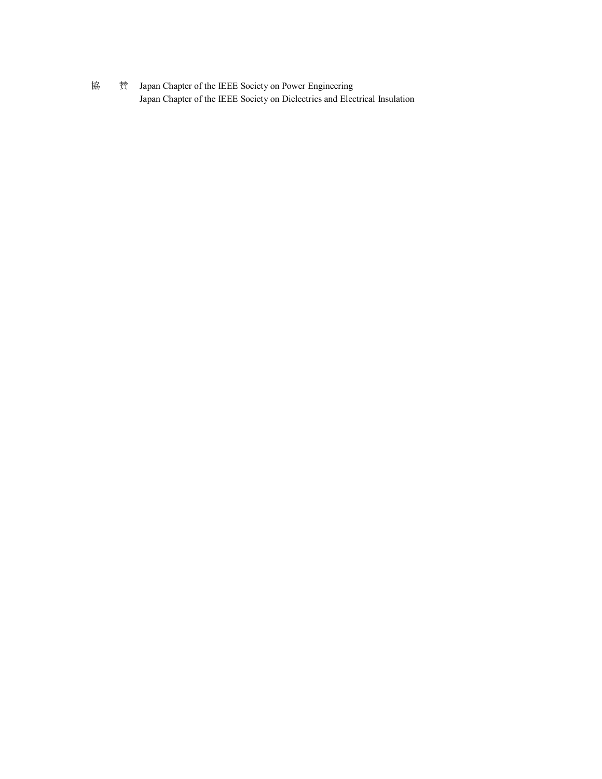協 賛 Japan Chapter of the IEEE Society on Power Engineering Japan Chapter of the IEEE Society on Dielectrics and Electrical Insulation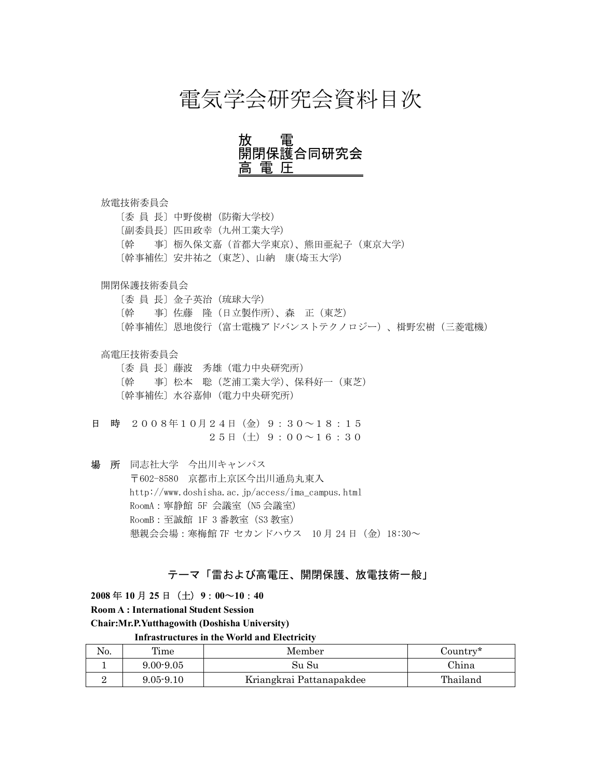# 電気学会研究会資料目次

## 放 電 開閉保護合同研究会 富.

### 放電技術委員会

〔委 員 長〕中野俊樹(防衛大学校) 〔副委員長〕匹田政幸(九州工業大学) 〔幹 事〕栃久保文嘉(首都大学東京)、熊田亜紀子(東京大学) 〔幹事補佐〕安井祐之(東芝)、山納 康(埼玉大学)

### 開閉保護技術委員会

〔委 員 長〕金子英治(琉球大学) 〔幹 事〕佐藤 隆(日立製作所)、森 正(東芝) 〔幹事補佐〕恩地俊行(富士電機アドバンストテクノロジー)、楫野宏樹(三菱電機)

### 高電圧技術委員会

〔委 員 長〕藤波 秀雄(電力中央研究所) 〔幹 事〕松本 聡(芝浦工業大学)、保科好一(東芝) 〔幹事補佐〕水谷嘉伸(電力中央研究所)

日 時 2008年10月24日(金)9:30~18:15  $25H(\pm)9:00 \sim 16:30$ 

場 所 同志社大学 今出川キャンパス 〒602-8580 京都市上京区今出川通烏丸東入 http://www.doshisha.ac.jp/access/ima\_campus.html RoomA:寧静館 5F 会議室(N5 会議室) RoomB:至誠館 1F 3 番教室(S3 教室) 懇親会会場:寒梅館 7F セカンドハウス 10 月 24 日(金)18:30~

## テーマ「雷および高電圧、開閉保護、放電技術一般」

**2008** 年 **10** 月 **25** 日(土)**9**:**00**~**10**:**40** 

**Room A : International Student Session**

**Chair:Mr.P.Yutthagowith (Doshisha University)**

 **Infrastructures in the World and Electricity**

| No. | Time          | Member                   | Country* |
|-----|---------------|--------------------------|----------|
|     | $9.00 - 9.05$ | Su Su                    | China    |
|     | $9.05 - 9.10$ | Kriangkrai Pattanapakdee | Thailand |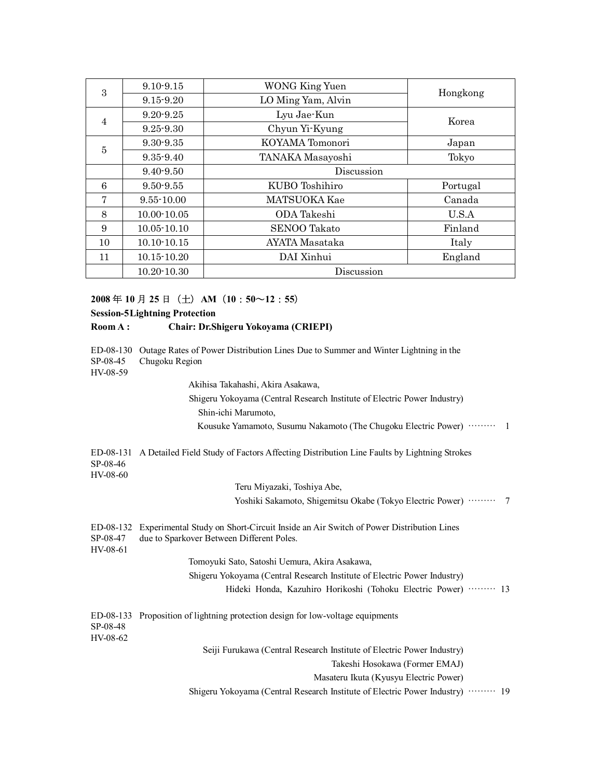| 3<br>$\overline{4}$ | $9.10 - 9.15$   | <b>WONG King Yuen</b> | Hongkong |  |
|---------------------|-----------------|-----------------------|----------|--|
|                     | $9.15 - 9.20$   | LO Ming Yam, Alvin    |          |  |
|                     | $9.20 - 9.25$   | Lyu Jae-Kun           | Korea    |  |
| 5                   | $9.25 - 9.30$   | Chyun Yi-Kyung        |          |  |
|                     | $9.30 - 9.35$   | KOYAMA Tomonori       | Japan    |  |
|                     | $9.35 - 9.40$   | TANAKA Masayoshi      | Tokyo    |  |
|                     | 9.40-9.50       | Discussion            |          |  |
| 6                   | $9.50 - 9.55$   | KUBO Toshihiro        | Portugal |  |
| 7                   | $9.55 - 10.00$  | MATSUOKA Kae          | Canada   |  |
| 8                   | $10.00 - 10.05$ | ODA Takeshi           | U.S.A    |  |
| 9                   | $10.05 - 10.10$ | <b>SENOO Takato</b>   | Finland  |  |
| 10                  | $10.10 - 10.15$ | AYATA Masataka        | Italy    |  |
| 11                  | $10.15 - 10.20$ | DAI Xinhui            | England  |  |
|                     | $10.20 - 10.30$ | Discussion            |          |  |

### **2008** 年 **10** 月 **25** 日(土)**AM**(**10**:**50**~**12**:**55**)

### **Session-5Lightning Protection**

### **Room A : Chair: Dr.Shigeru Yokoyama (CRIEPI)**

SP-08-45 Chugoku Region

HV-08-59

Akihisa Takahashi, Akira Asakawa,

Shigeru Yokoyama (Central Research Institute of Electric Power Industry) Shin-ichi Marumoto, Kousuke Yamamoto, Susumu Nakamoto (The Chugoku Electric Power) ……… 1

ED-08-131 A Detailed Field Study of Factors Affecting Distribution Line Faults by Lightning Strokes SP-08-46 HV-08-60

Teru Miyazaki, Toshiya Abe,

Yoshiki Sakamoto, Shigemitsu Okabe (Tokyo Electric Power) ……… 7

ED-08-132 Experimental Study on Short-Circuit Inside an Air Switch of Power Distribution Lines SP-08-47 due to Sparkover Between Different Poles.

HV-08-61

Tomoyuki Sato, Satoshi Uemura, Akira Asakawa,

Shigeru Yokoyama (Central Research Institute of Electric Power Industry)

Hideki Honda, Kazuhiro Horikoshi (Tohoku Electric Power) ……… 13

| SP-08-48 | ED-08-133 Proposition of lightning protection design for low-voltage equipments |
|----------|---------------------------------------------------------------------------------|
| HV-08-62 |                                                                                 |
|          | Seiji Furukawa (Central Research Institute of Electric Power Industry)          |

Takeshi Hosokawa (Former EMAJ)

Masateru Ikuta (Kyusyu Electric Power)

Shigeru Yokoyama (Central Research Institute of Electric Power Industry) ……… 19

ED-08-130 Outage Rates of Power Distribution Lines Due to Summer and Winter Lightning in the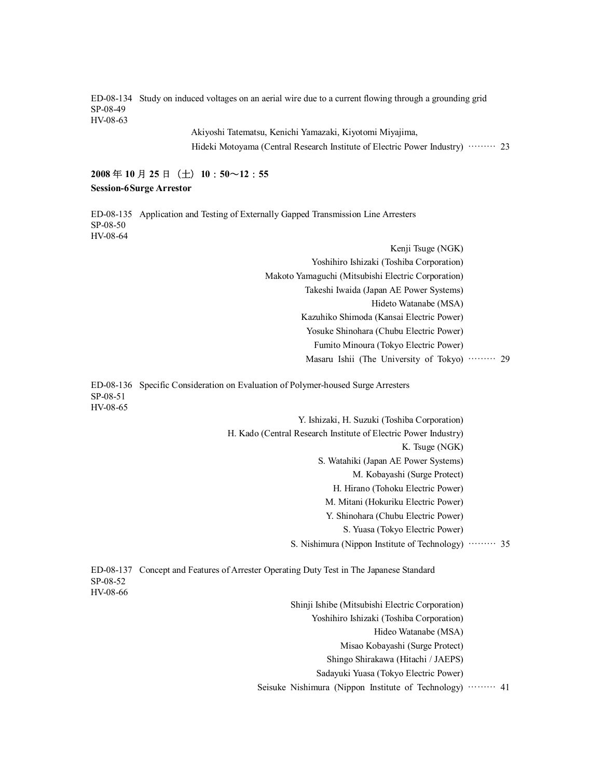ED-08-134 Study on induced voltages on an aerial wire due to a current flowing through a grounding grid SP-08-49 HV-08-63

> Akiyoshi Tatematsu, Kenichi Yamazaki, Kiyotomi Miyajima, Hideki Motoyama (Central Research Institute of Electric Power Industry) ……… 23

## **2008** 年 **10** 月 **25** 日(土)**10**:**50**~**12**:**55 Session-6Surge Arrestor**

ED-08-135 Application and Testing of Externally Gapped Transmission Line Arresters SP-08-50 HV-08-64

> Kenji Tsuge (NGK) Yoshihiro Ishizaki (Toshiba Corporation) Makoto Yamaguchi (Mitsubishi Electric Corporation) Takeshi Iwaida (Japan AE Power Systems) Hideto Watanabe (MSA) Kazuhiko Shimoda (Kansai Electric Power) Yosuke Shinohara (Chubu Electric Power) Fumito Minoura (Tokyo Electric Power) Masaru Ishii (The University of Tokyo) ……… 29

ED-08-136 Specific Consideration on Evaluation of Polymer-housed Surge Arresters SP-08-51 HV-08-65

> Y. Ishizaki, H. Suzuki (Toshiba Corporation) H. Kado (Central Research Institute of Electric Power Industry) K. Tsuge (NGK) S. Watahiki (Japan AE Power Systems) M. Kobayashi (Surge Protect) H. Hirano (Tohoku Electric Power) M. Mitani (Hokuriku Electric Power) Y. Shinohara (Chubu Electric Power) S. Yuasa (Tokyo Electric Power) S. Nishimura (Nippon Institute of Technology) ……… 35

ED-08-137 Concept and Features of Arrester Operating Duty Test in The Japanese Standard SP-08-52 HV-08-66

> Shinji Ishibe (Mitsubishi Electric Corporation) Yoshihiro Ishizaki (Toshiba Corporation) Hideo Watanabe (MSA) Misao Kobayashi (Surge Protect) Shingo Shirakawa (Hitachi / JAEPS) Sadayuki Yuasa (Tokyo Electric Power)

Seisuke Nishimura (Nippon Institute of Technology) ……… 41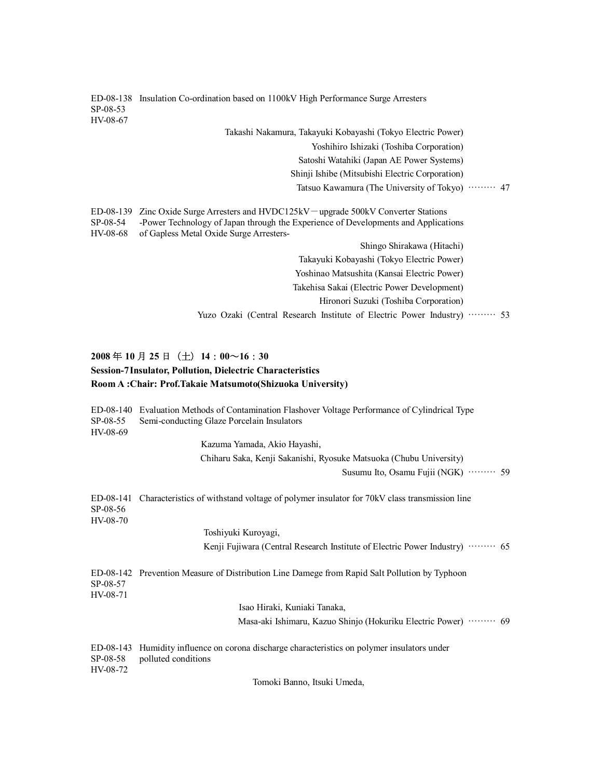ED-08-138 Insulation Co-ordination based on 1100kV High Performance Surge Arresters SP-08-53 HV-08-67 Takashi Nakamura, Takayuki Kobayashi (Tokyo Electric Power) Yoshihiro Ishizaki (Toshiba Corporation) Satoshi Watahiki (Japan AE Power Systems) Shinji Ishibe (Mitsubishi Electric Corporation) Tatsuo Kawamura (The University of Tokyo) ……… 47 ED-08-139 Zinc Oxide Surge Arresters and HVDC125kV-upgrade 500kV Converter Stations SP-08-54 -Power Technology of Japan through the Experience of Developments and Applications HV-08-68 of Gapless Metal Oxide Surge Arresters-Shingo Shirakawa (Hitachi) Takayuki Kobayashi (Tokyo Electric Power) Yoshinao Matsushita (Kansai Electric Power) Takehisa Sakai (Electric Power Development) Hironori Suzuki (Toshiba Corporation) Yuzo Ozaki (Central Research Institute of Electric Power Industry) ……… 53 **2008** 年 **10** 月 **25** 日(土)**14**:**00**~**16**:**30 Session-7Insulator, Pollution, Dielectric Characteristics Room A :Chair: Prof.Takaie Matsumoto(Shizuoka University)**

ED-08-140 Evaluation Methods of Contamination Flashover Voltage Performance of Cylindrical Type SP-08-55 Semi-conducting Glaze Porcelain Insulators HV-08-69 Kazuma Yamada, Akio Hayashi, Chiharu Saka, Kenji Sakanishi, Ryosuke Matsuoka (Chubu University) Susumu Ito, Osamu Fujii (NGK) ……… 59 ED-08-141 Characteristics of withstand voltage of polymer insulator for 70kV class transmission line SP-08-56 HV-08-70 Toshiyuki Kuroyagi, Kenji Fujiwara (Central Research Institute of Electric Power Industry) ……… 65 ED-08-142 Prevention Measure of Distribution Line Damege from Rapid Salt Pollution by Typhoon SP-08-57 HV-08-71 Isao Hiraki, Kuniaki Tanaka, Masa-aki Ishimaru, Kazuo Shinjo (Hokuriku Electric Power) ……… 69 ED-08-143 Humidity influence on corona discharge characteristics on polymer insulators under SP-08-58 polluted conditions HV-08-72 Tomoki Banno, Itsuki Umeda,